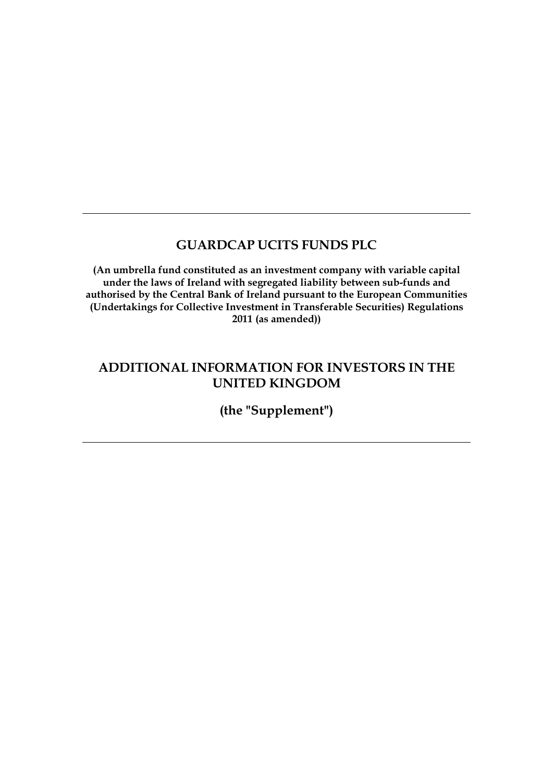# **GUARDCAP UCITS FUNDS PLC**

**(An umbrella fund constituted as an investment company with variable capital under the laws of Ireland with segregated liability between sub-funds and authorised by the Central Bank of Ireland pursuant to the European Communities (Undertakings for Collective Investment in Transferable Securities) Regulations 2011 (as amended))**

# **ADDITIONAL INFORMATION FOR INVESTORS IN THE UNITED KINGDOM**

**(the "Supplement")**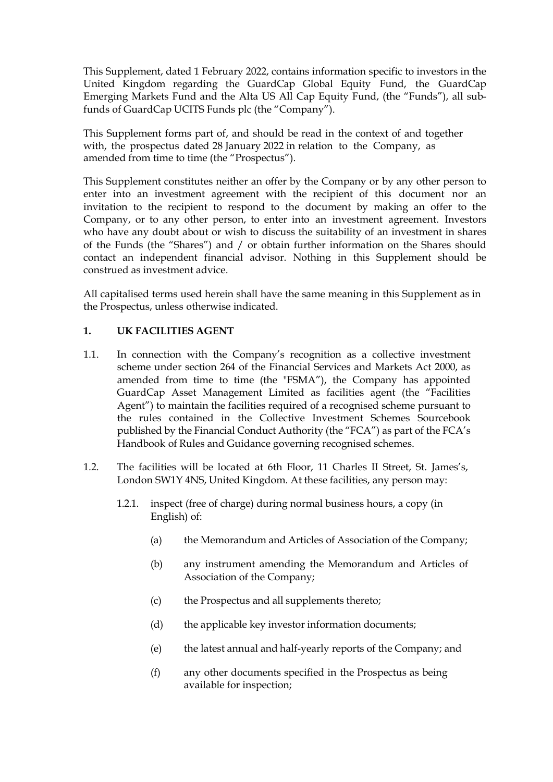This Supplement, dated 1 February 2022, contains information specific to investors in the United Kingdom regarding the GuardCap Global Equity Fund, the GuardCap Emerging Markets Fund and the Alta US All Cap Equity Fund, (the "Funds"), all subfunds of GuardCap UCITS Funds plc (the "Company").

This Supplement forms part of, and should be read in the context of and together with, the prospectus dated 28 January 2022 in relation to the Company, as amended from time to time (the "Prospectus").

This Supplement constitutes neither an offer by the Company or by any other person to enter into an investment agreement with the recipient of this document nor an invitation to the recipient to respond to the document by making an offer to the Company, or to any other person, to enter into an investment agreement. Investors who have any doubt about or wish to discuss the suitability of an investment in shares of the Funds (the "Shares") and / or obtain further information on the Shares should contact an independent financial advisor. Nothing in this Supplement should be construed as investment advice.

All capitalised terms used herein shall have the same meaning in this Supplement as in the Prospectus, unless otherwise indicated.

## **1. UK FACILITIES AGENT**

- 1.1. In connection with the Company's recognition as a collective investment scheme under section 264 of the Financial Services and Markets Act 2000, as amended from time to time (the "FSMA"), the Company has appointed GuardCap Asset Management Limited as facilities agent (the "Facilities Agent") to maintain the facilities required of a recognised scheme pursuant to the rules contained in the Collective Investment Schemes Sourcebook published by the Financial Conduct Authority (the "FCA") as part of the FCA's Handbook of Rules and Guidance governing recognised schemes.
- 1.2. The facilities will be located at 6th Floor, 11 Charles II Street, St. James's, London SW1Y 4NS, United Kingdom. At these facilities, any person may:
	- 1.2.1. inspect (free of charge) during normal business hours, a copy (in English) of:
		- (a) the Memorandum and Articles of Association of the Company;
		- (b) any instrument amending the Memorandum and Articles of Association of the Company;
		- (c) the Prospectus and all supplements thereto;
		- (d) the applicable key investor information documents;
		- (e) the latest annual and half-yearly reports of the Company; and
		- (f) any other documents specified in the Prospectus as being available for inspection;